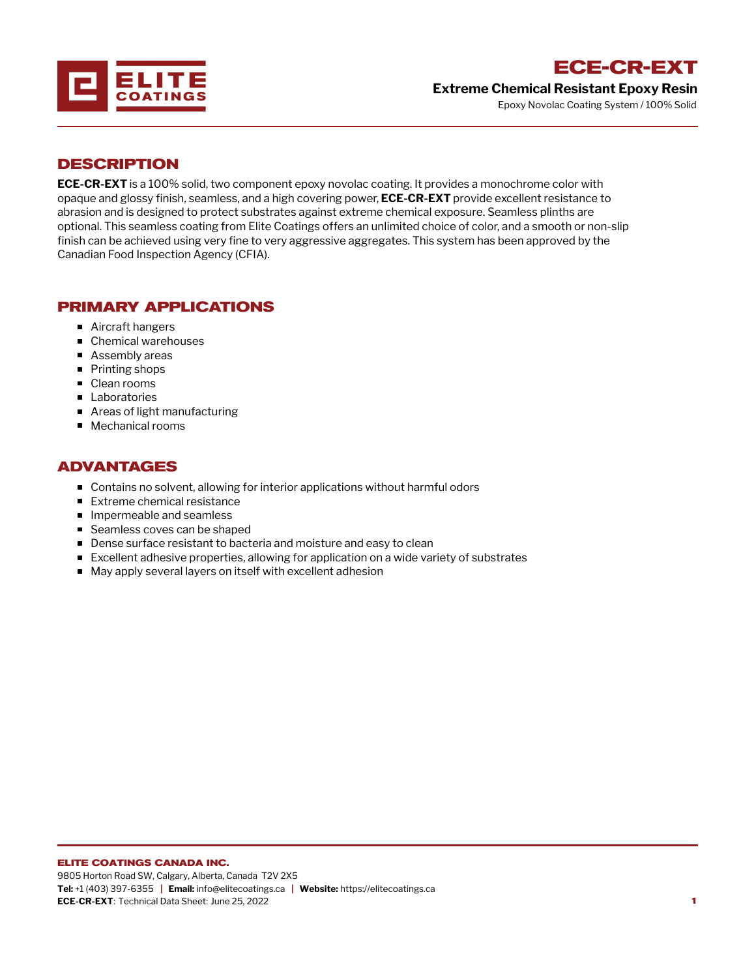

## **ECE-CR-EXT Extreme Chemical Resistant Epoxy Resin**

Epoxy Novolac Coating System / 100% Solid

#### **DESCRIPTION**

**ECE-CR-EXT** is a 100% solid, two component epoxy novolac coating. It provides a monochrome color with opaque and glossy finish, seamless, and a high covering power, **ECE-CR-EXT** provide excellent resistance to abrasion and is designed to protect substrates against extreme chemical exposure. Seamless plinths are optional. This seamless coating from Elite Coatings offers an unlimited choice of color, and a smooth or non-slip finish can be achieved using very fine to very aggressive aggregates. This system has been approved by the Canadian Food Inspection Agency (CFIA).

## **PRIMARY APPLICATIONS**

- Aircraft hangers
- Chemical warehouses
- Assembly areas
- Printing shops
- Clean rooms
- **Laboratories**
- Areas of light manufacturing
- Mechanical rooms

# **ADVANTAGES**

- Contains no solvent, allowing for interior applications without harmful odors
- **Extreme chemical resistance**
- **Impermeable and seamless**
- Seamless coves can be shaped
- **Dense surface resistant to bacteria and moisture and easy to clean**
- Excellent adhesive properties, allowing for application on a wide variety of substrates
- May apply several layers on itself with excellent adhesion

#### **ELITE COATINGS CANADA INC.**

9805 Horton Road SW, Calgary, Alberta, Canada T2V 2X5 **Tel:** +1 (403) 397-6355 **| Email:** info@elitecoatings.ca **| Website:** https://elitecoatings.ca **ECE-CR-EXT**: Technical Data Sheet: June 25, 2022 **1**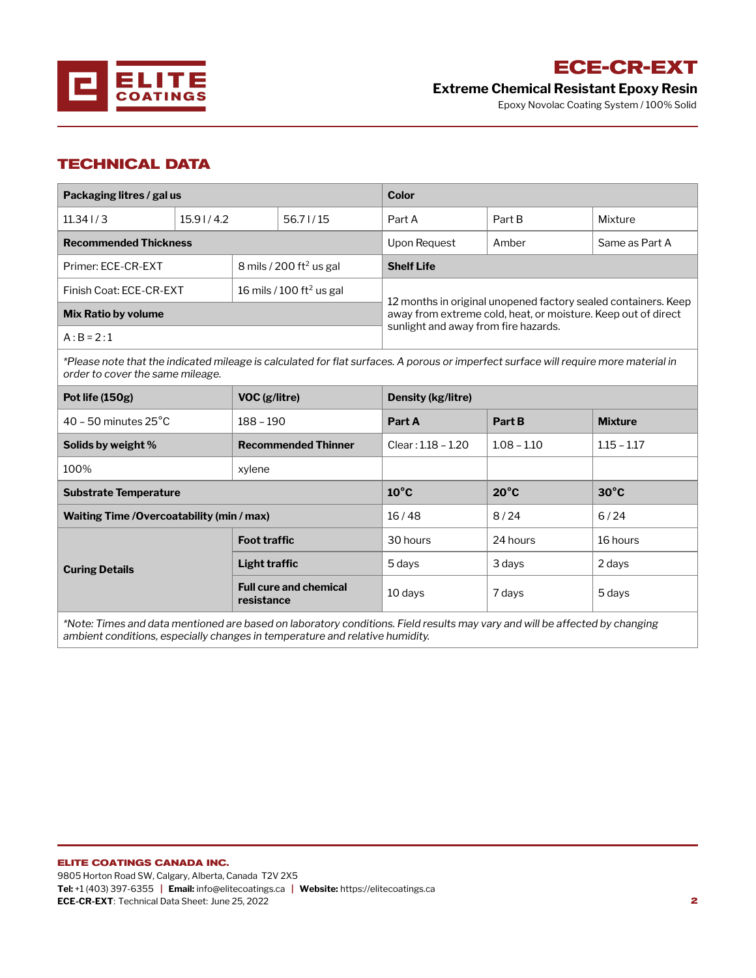

# **ECE-CR-EXT**

**Extreme Chemical Resistant Epoxy Resin**

Epoxy Novolac Coating System / 100% Solid

# **TECHNICAL DATA**

| Packaging litres / gal us    |           |                                      |              | <b>Color</b>                                                                                          |                |         |  |
|------------------------------|-----------|--------------------------------------|--------------|-------------------------------------------------------------------------------------------------------|----------------|---------|--|
| $11.34$ J $/3$               | 15.91/4.2 |                                      | 56.71/15     | Part A                                                                                                | Part B         | Mixture |  |
| <b>Recommended Thickness</b> |           |                                      | Upon Request | Amber                                                                                                 | Same as Part A |         |  |
| Primer: ECE-CR-EXT           |           | 8 mils / 200 ft <sup>2</sup> us gal  |              | <b>Shelf Life</b>                                                                                     |                |         |  |
| Finish Coat: ECE-CR-EXT      |           | 16 mils / 100 ft <sup>2</sup> us gal |              | 12 months in original unopened factory sealed containers. Keep                                        |                |         |  |
| <b>Mix Ratio by volume</b>   |           |                                      |              | away from extreme cold, heat, or moisture. Keep out of direct<br>sunlight and away from fire hazards. |                |         |  |
| $A:B = 2:1$                  |           |                                      |              |                                                                                                       |                |         |  |

\*Please note that the indicated mileage is calculated for flat surfaces. A porous or imperfect surface will require more material in *order to cover the same mileage.*

| Pot life $(150g)$                                                                                           | VOC (g/litre)                               | Density (kg/litre)  |                |                |  |  |  |
|-------------------------------------------------------------------------------------------------------------|---------------------------------------------|---------------------|----------------|----------------|--|--|--|
| $40 - 50$ minutes $25^{\circ}$ C                                                                            | $188 - 190$                                 | Part A              | Part B         | <b>Mixture</b> |  |  |  |
| Solids by weight %                                                                                          | <b>Recommended Thinner</b>                  | $Clear:1.18 - 1.20$ | $1.08 - 1.10$  | $1.15 - 1.17$  |  |  |  |
| 100%                                                                                                        | xylene                                      |                     |                |                |  |  |  |
| <b>Substrate Temperature</b>                                                                                | $10^{\circ}$ C                              | $20^{\circ}$ C      | $30^{\circ}$ C |                |  |  |  |
| Waiting Time / Overcoatability (min / max)                                                                  | 16/48                                       | 8/24                | 6/24           |                |  |  |  |
|                                                                                                             | <b>Foot traffic</b>                         | 30 hours            | 24 hours       | 16 hours       |  |  |  |
| <b>Curing Details</b>                                                                                       | Light traffic                               | 5 days              | 3 days         | 2 days         |  |  |  |
|                                                                                                             | <b>Full cure and chemical</b><br>resistance | 10 days             | 7 days         | 5 days         |  |  |  |
| ◆▲しょう 天皇 こうこうしょうしょう こうしょうしょうしょうしょうしょう しょうしょう しょうしょう こうせいしょう 長いま こうしはい こうしょう こうこうしょう こうしょう げんこうしょうしょう しょうしょう |                                             |                     |                |                |  |  |  |

\*Note: Times and data mentioned are based on laboratory conditions. Field results may vary and will be affected by changing *ambient conditions, especially changes in temperature and relative humidity.*

**Tel:** +1 (403) 397-6355 **| Email:** info@elitecoatings.ca **| Website:** https://elitecoatings.ca **ECE-CR-EXT**: Technical Data Sheet: June 25, 2022 **2**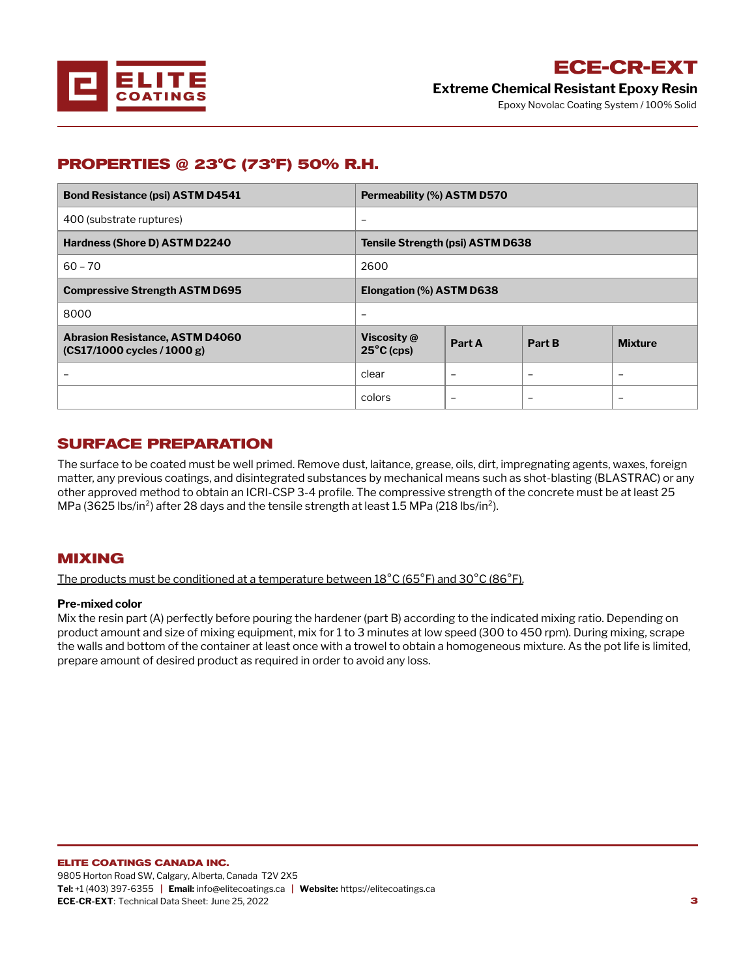

**ECE-CR-EXT Extreme Chemical Resistant Epoxy Resin**

Epoxy Novolac Coating System / 100% Solid

## **PROPERTIES @ 23°C (73°F) 50% R.H.**

| <b>Bond Resistance (psi) ASTM D4541</b>                                  | Permeability (%) ASTM D570          |        |        |                |  |
|--------------------------------------------------------------------------|-------------------------------------|--------|--------|----------------|--|
| 400 (substrate ruptures)                                                 | $\overline{\phantom{0}}$            |        |        |                |  |
| Hardness (Shore D) ASTM D2240                                            | Tensile Strength (psi) ASTM D638    |        |        |                |  |
| $60 - 70$                                                                | 2600                                |        |        |                |  |
| <b>Compressive Strength ASTM D695</b>                                    | Elongation (%) ASTM D638            |        |        |                |  |
| 8000                                                                     | -                                   |        |        |                |  |
| <b>Abrasion Resistance, ASTM D4060</b><br>$(CS17/1000$ cycles $(1000 g)$ | Viscosity @<br>$25^{\circ}$ C (cps) | Part A | Part B | <b>Mixture</b> |  |
|                                                                          | clear                               | -      |        |                |  |
|                                                                          | colors                              |        |        |                |  |

#### **SURFACE PREPARATION**

The surface to be coated must be well primed. Remove dust, laitance, grease, oils, dirt, impregnating agents, waxes, foreign matter, any previous coatings, and disintegrated substances by mechanical means such as shot-blasting (BLASTRAC) or any other approved method to obtain an ICRI-CSP 3-4 profile. The compressive strength of the concrete must be at least 25 MPa (3625 lbs/in<sup>2</sup>) after 28 days and the tensile strength at least 1.5 MPa (218 lbs/in<sup>2</sup>).

#### **MIXING**

The products must be conditioned at a temperature between  $18^{\circ}$ C (65 $^{\circ}$ F) and 30 $^{\circ}$ C (86 $^{\circ}$ F).

#### **Pre-mixed color**

Mix the resin part (A) perfectly before pouring the hardener (part B) according to the indicated mixing ratio. Depending on product amount and size of mixing equipment, mix for 1 to 3 minutes at low speed (300 to 450 rpm). During mixing, scrape the walls and bottom of the container at least once with a trowel to obtain a homogeneous mixture. As the pot life is limited, prepare amount of desired product as required in order to avoid any loss.

9805 Horton Road SW, Calgary, Alberta, Canada T2V 2X5 **Tel:** +1 (403) 397-6355 **| Email:** info@elitecoatings.ca **| Website:** https://elitecoatings.ca **ECE-CR-EXT**: Technical Data Sheet: June 25, 2022 **3**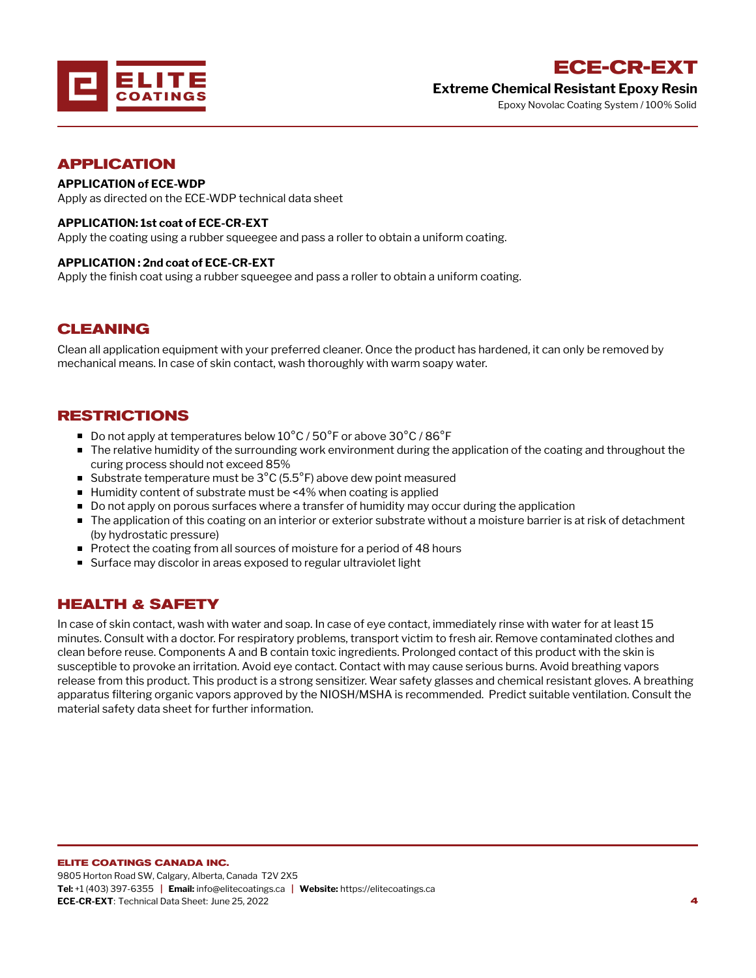

**Extreme Chemical Resistant Epoxy Resin** Epoxy Novolac Coating System / 100% Solid

#### **APPLICATION**

#### **APPLICATION of ECE-WDP**

Apply as directed on the ECE-WDP technical data sheet

#### **APPLICATION: 1st coat of ECE-CR-EXT**

Apply the coating using a rubber squeegee and pass a roller to obtain a uniform coating.

#### **APPLICATION : 2nd coat of ECE-CR-EXT**

Apply the finish coat using a rubber squeegee and pass a roller to obtain a uniform coating.

#### **CLEANING**

Clean all application equipment with your preferred cleaner. Once the product has hardened, it can only be removed by mechanical means. In case of skin contact, wash thoroughly with warm soapy water.

#### **RESTRICTIONS**

- Do not apply at temperatures below  $10^{\circ}$ C / 50 $^{\circ}$ F or above 30 $^{\circ}$ C / 86 $^{\circ}$ F
- The relative humidity of the surrounding work environment during the application of the coating and throughout the curing process should not exceed 85%
- Substrate temperature must be  $3^{\circ}$ C (5.5 $^{\circ}$ F) above dew point measured
- Humidity content of substrate must be <4% when coating is applied
- Do not apply on porous surfaces where a transfer of humidity may occur during the application
- **The application of this coating on an interior or exterior substrate without a moisture barrier is at risk of detachment** (by hydrostatic pressure)
- Protect the coating from all sources of moisture for a period of 48 hours
- Surface may discolor in areas exposed to regular ultraviolet light

## **HEALTH & SAFETY**

In case of skin contact, wash with water and soap. In case of eye contact, immediately rinse with water for at least 15 minutes. Consult with a doctor. For respiratory problems, transport victim to fresh air. Remove contaminated clothes and clean before reuse. Components A and B contain toxic ingredients. Prolonged contact of this product with the skin is susceptible to provoke an irritation. Avoid eye contact. Contact with may cause serious burns. Avoid breathing vapors release from this product. This product is a strong sensitizer. Wear safety glasses and chemical resistant gloves. A breathing apparatus filtering organic vapors approved by the NIOSH/MSHA is recommended. Predict suitable ventilation. Consult the material safety data sheet for further information.

#### **ELITE COATINGS CANADA INC.**

9805 Horton Road SW, Calgary, Alberta, Canada T2V 2X5 **Tel:** +1 (403) 397-6355 **| Email:** info@elitecoatings.ca **| Website:** https://elitecoatings.ca **ECE-CR-EXT**: Technical Data Sheet: June 25, 2022 **4**